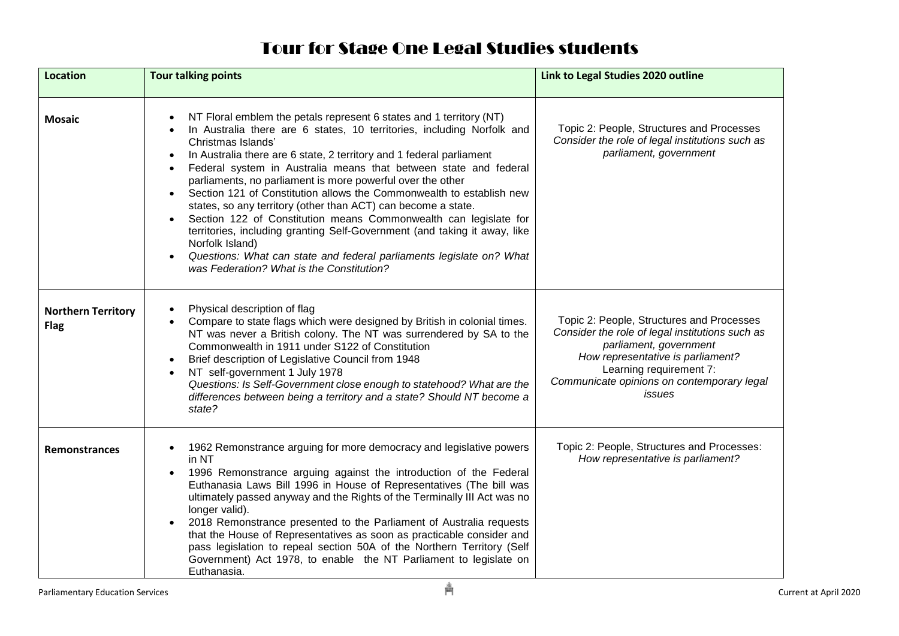## Tour for Stage One Legal Studies students

| <b>Location</b>                          | <b>Tour talking points</b>                                                                                                                                                                                                                                                                                                                                                                                                                                                                                                                                                                                                                                                                                                                                                                                                                             | Link to Legal Studies 2020 outline                                                                                                                                                                                                             |
|------------------------------------------|--------------------------------------------------------------------------------------------------------------------------------------------------------------------------------------------------------------------------------------------------------------------------------------------------------------------------------------------------------------------------------------------------------------------------------------------------------------------------------------------------------------------------------------------------------------------------------------------------------------------------------------------------------------------------------------------------------------------------------------------------------------------------------------------------------------------------------------------------------|------------------------------------------------------------------------------------------------------------------------------------------------------------------------------------------------------------------------------------------------|
| <b>Mosaic</b>                            | NT Floral emblem the petals represent 6 states and 1 territory (NT)<br>In Australia there are 6 states, 10 territories, including Norfolk and<br>Christmas Islands'<br>In Australia there are 6 state, 2 territory and 1 federal parliament<br>$\bullet$<br>Federal system in Australia means that between state and federal<br>parliaments, no parliament is more powerful over the other<br>Section 121 of Constitution allows the Commonwealth to establish new<br>states, so any territory (other than ACT) can become a state.<br>Section 122 of Constitution means Commonwealth can legislate for<br>$\bullet$<br>territories, including granting Self-Government (and taking it away, like<br>Norfolk Island)<br>Questions: What can state and federal parliaments legislate on? What<br>$\bullet$<br>was Federation? What is the Constitution? | Topic 2: People, Structures and Processes<br>Consider the role of legal institutions such as<br>parliament, government                                                                                                                         |
| <b>Northern Territory</b><br><b>Flag</b> | Physical description of flag<br>Compare to state flags which were designed by British in colonial times.<br>NT was never a British colony. The NT was surrendered by SA to the<br>Commonwealth in 1911 under S122 of Constitution<br>Brief description of Legislative Council from 1948<br>$\bullet$<br>NT self-government 1 July 1978<br>Questions: Is Self-Government close enough to statehood? What are the<br>differences between being a territory and a state? Should NT become a<br>state?                                                                                                                                                                                                                                                                                                                                                     | Topic 2: People, Structures and Processes<br>Consider the role of legal institutions such as<br>parliament, government<br>How representative is parliament?<br>Learning requirement 7:<br>Communicate opinions on contemporary legal<br>issues |
| <b>Remonstrances</b>                     | 1962 Remonstrance arguing for more democracy and legislative powers<br>$\bullet$<br>in NT<br>1996 Remonstrance arguing against the introduction of the Federal<br>$\bullet$<br>Euthanasia Laws Bill 1996 in House of Representatives (The bill was<br>ultimately passed anyway and the Rights of the Terminally III Act was no<br>longer valid).<br>2018 Remonstrance presented to the Parliament of Australia requests<br>$\bullet$<br>that the House of Representatives as soon as practicable consider and<br>pass legislation to repeal section 50A of the Northern Territory (Self<br>Government) Act 1978, to enable the NT Parliament to legislate on<br>Euthanasia.                                                                                                                                                                            | Topic 2: People, Structures and Processes:<br>How representative is parliament?                                                                                                                                                                |
| <b>Parliamentary Education Services</b>  | Å                                                                                                                                                                                                                                                                                                                                                                                                                                                                                                                                                                                                                                                                                                                                                                                                                                                      | Current at April 2020                                                                                                                                                                                                                          |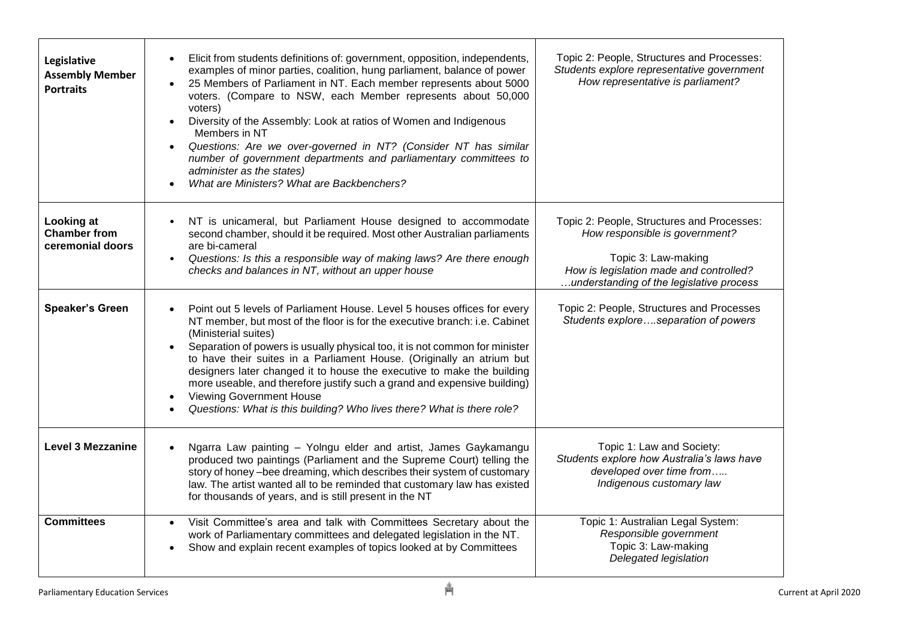| Legislative<br><b>Assembly Member</b><br><b>Portraits</b> | Elicit from students definitions of: government, opposition, independents,<br>$\bullet$<br>examples of minor parties, coalition, hung parliament, balance of power<br>25 Members of Parliament in NT. Each member represents about 5000<br>voters. (Compare to NSW, each Member represents about 50,000<br>voters)<br>Diversity of the Assembly: Look at ratios of Women and Indigenous<br>$\bullet$<br>Members in NT<br>Questions: Are we over-governed in NT? (Consider NT has similar<br>$\bullet$<br>number of government departments and parliamentary committees to<br>administer as the states)<br>What are Ministers? What are Backbenchers? | Topic 2: People, Structures and Processes:<br>Students explore representative government<br>How representative is parliament?                                                              |
|-----------------------------------------------------------|------------------------------------------------------------------------------------------------------------------------------------------------------------------------------------------------------------------------------------------------------------------------------------------------------------------------------------------------------------------------------------------------------------------------------------------------------------------------------------------------------------------------------------------------------------------------------------------------------------------------------------------------------|--------------------------------------------------------------------------------------------------------------------------------------------------------------------------------------------|
| Looking at<br><b>Chamber from</b><br>ceremonial doors     | NT is unicameral, but Parliament House designed to accommodate<br>$\bullet$<br>second chamber, should it be required. Most other Australian parliaments<br>are bi-cameral<br>Questions: Is this a responsible way of making laws? Are there enough<br>$\bullet$<br>checks and balances in NT, without an upper house                                                                                                                                                                                                                                                                                                                                 | Topic 2: People, Structures and Processes:<br>How responsible is government?<br>Topic 3: Law-making<br>How is legislation made and controlled?<br>understanding of the legislative process |
| <b>Speaker's Green</b>                                    | Point out 5 levels of Parliament House. Level 5 houses offices for every<br>$\bullet$<br>NT member, but most of the floor is for the executive branch: i.e. Cabinet<br>(Ministerial suites)<br>Separation of powers is usually physical too, it is not common for minister<br>$\bullet$<br>to have their suites in a Parliament House. (Originally an atrium but<br>designers later changed it to house the executive to make the building<br>more useable, and therefore justify such a grand and expensive building)<br><b>Viewing Government House</b><br>$\bullet$<br>Questions: What is this building? Who lives there? What is there role?     | Topic 2: People, Structures and Processes<br>Students exploreseparation of powers                                                                                                          |
| <b>Level 3 Mezzanine</b>                                  | Ngarra Law painting - Yolngu elder and artist, James Gaykamangu<br>produced two paintings (Parliament and the Supreme Court) telling the<br>story of honey-bee dreaming, which describes their system of customary<br>law. The artist wanted all to be reminded that customary law has existed<br>for thousands of years, and is still present in the NT                                                                                                                                                                                                                                                                                             | Topic 1: Law and Society:<br>Students explore how Australia's laws have<br>developed over time from<br>Indigenous customary law                                                            |
| <b>Committees</b>                                         | Visit Committee's area and talk with Committees Secretary about the<br>$\bullet$<br>work of Parliamentary committees and delegated legislation in the NT.<br>Show and explain recent examples of topics looked at by Committees<br>$\bullet$                                                                                                                                                                                                                                                                                                                                                                                                         | Topic 1: Australian Legal System:<br>Responsible government<br>Topic 3: Law-making<br>Delegated legislation                                                                                |